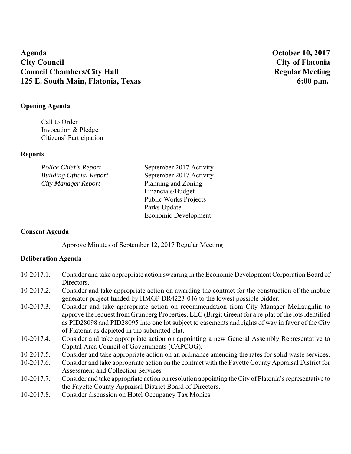# **Agenda October 10, 2017 City Council City of Flatonia Council Chambers/City Hall Secure 2.1 Accouncil Chambers/City Hall Regular Meeting 2.1 Accouncil Chambers/City Hall 125 E. South Main, Flatonia, Texas 6:00 p.m. 6:00 p.m.**

#### **Opening Agenda**

Call to Order Invocation & Pledge Citizens' Participation

#### **Reports**

| Police Chief's Report           | September 2017 Activity      |
|---------------------------------|------------------------------|
| <b>Building Official Report</b> | September 2017 Activity      |
| City Manager Report             | Planning and Zoning          |
|                                 | Financials/Budget            |
|                                 | <b>Public Works Projects</b> |
|                                 | Parks Update                 |
|                                 | Economic Development         |

## **Consent Agenda**

Approve Minutes of September 12, 2017 Regular Meeting

## **Deliberation Agenda**

| 10-2017.1. Consider and take appropriate action swearing in the Economic Development Corporation Board of |
|-----------------------------------------------------------------------------------------------------------|
| Directors.                                                                                                |

- 10-2017.2. Consider and take appropriate action on awarding the contract for the construction of the mobile generator project funded by HMGP DR4223-046 to the lowest possible bidder.
- 10-2017.3. Consider and take appropriate action on recommendation from City Manager McLaughlin to approve the request from Grunberg Properties, LLC (Birgit Green) for a re-plat of the lots identified as PID28098 and PID28095 into one lot subject to easements and rights of way in favor of the City of Flatonia as depicted in the submitted plat.
- 10-2017.4. Consider and take appropriate action on appointing a new General Assembly Representative to Capital Area Council of Governments (CAPCOG).
- 10-2017.5. Consider and take appropriate action on an ordinance amending the rates for solid waste services.
- 10-2017.6. Consider and take appropriate action on the contract with the Fayette County Appraisal District for Assessment and Collection Services
- 10-2017.7. Consider and take appropriate action on resolution appointing the City of Flatonia's representative to the Fayette County Appraisal District Board of Directors.
- 10-2017.8. Consider discussion on Hotel Occupancy Tax Monies